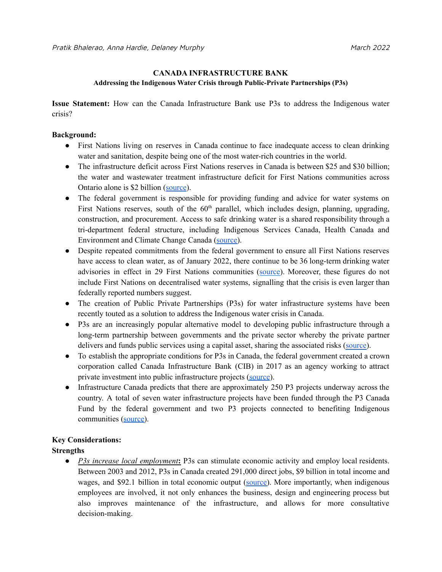#### **CANADA INFRASTRUCTURE BANK**

#### **Addressing the Indigenous Water Crisis through Public-Private Partnerships (P3s)**

**Issue Statement:** How can the Canada Infrastructure Bank use P3s to address the Indigenous water crisis?

### **Background:**

- First Nations living on reserves in Canada continue to face inadequate access to clean drinking water and sanitation, despite being one of the most water-rich countries in the world.
- The infrastructure deficit across First Nations reserves in Canada is between \$25 and \$30 billion; the water and wastewater treatment infrastructure deficit for First Nations communities across Ontario alone is \$2 billion ([source](https://www.pppcouncil.ca/web/pdf/first_nations_p3_report.pdf)).
- The federal government is responsible for providing funding and advice for water systems on First Nations reserves, south of the  $60<sup>th</sup>$  parallel, which includes design, planning, upgrading, construction, and procurement. Access to safe drinking water is a shared responsibility through a tri-department federal structure, including Indigenous Services Canada, Health Canada and Environment and Climate Change Canada [\(source\)](https://esemag.com/water/evaluating-the-first-nations-water-management-strategy/).
- Despite repeated commitments from the federal government to ensure all First Nations reserves have access to clean water, as of January 2022, there continue to be 36 long-term drinking water advisories in effect in 29 First Nations communities ([source](https://www.sac-isc.gc.ca/eng/1506514143353/1533317130660)). Moreover, these figures do not include First Nations on decentralised water systems, signalling that the crisis is even larger than federally reported numbers suggest.
- The creation of Public Private Partnerships (P3s) for water infrastructure systems have been recently touted as a solution to address the Indigenous water crisis in Canada.
- P3s are an increasingly popular alternative model to developing public infrastructure through a long-term partnership between governments and the private sector whereby the private partner delivers and funds public services using a capital asset, sharing the associated risks [\(source\)](https://www.oecd.org/gov/budgeting/oecd-principles-for-public-governance-of-public-private-partnerships.htm).
- To establish the appropriate conditions for P3s in Canada, the federal government created a crown corporation called Canada Infrastructure Bank (CIB) in 2017 as an agency working to attract private investment into public infrastructure projects [\(source](https://www.municipalservicesproject.org/publications/22.Canada.pdf)).
- Infrastructure Canada predicts that there are approximately 250 P3 projects underway across the country. A total of seven water infrastructure projects have been funded through the P3 Canada Fund by the federal government and two P3 projects connected to benefiting Indigenous communities [\(source\)](https://www.infrastructure.gc.ca/prog/programs-infc-summary-eng.html).

# **Key Considerations:**

# **Strengths**

● *P3s increase local employment***:** P3s can stimulate economic activity and employ local residents. Between 2003 and 2012, P3s in Canada created 291,000 direct jobs, \$9 billion in total income and wages, and \$92.1 billion in total economic output [\(source\)](https://www.pppcouncil.ca/web/pdf/eco-impact-of-p3-report.pdf). More importantly, when indigenous employees are involved, it not only enhances the business, design and engineering process but also improves maintenance of the infrastructure, and allows for more consultative decision-making.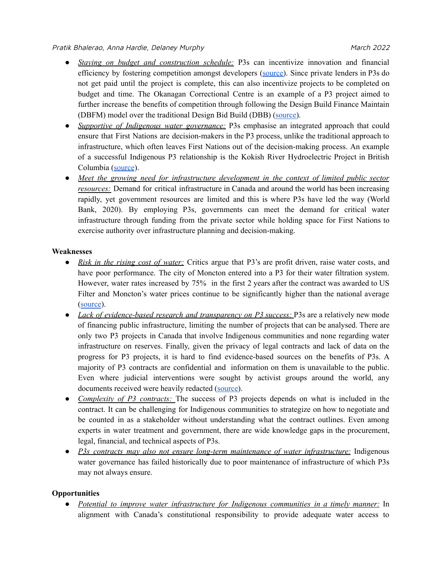- *Staying on budget and construction schedule:* P3s can incentivize innovation and financial efficiency by fostering competition amongst developers ([source\)](https://www.awwa.org/Portals/0/AWWA/Communications/P3Report.pdf). Since private lenders in P3s do not get paid until the project is complete, this can also incentivize projects to be completed on budget and time. The Okanagan Correctional Centre is an example of a P3 project aimed to further increase the benefits of competition through following the Design Build Finance Maintain (DBFM) model over the traditional Design Bid Build (DBB) ([source\)](https://www.infrastructurebc.com/files-4/project-occ-schedules/2014-July_OCC-Project-Report.pdf).
- *Supportive of Indigenous water governance:* P3s emphasise an integrated approach that could ensure that First Nations are decision-makers in the P3 process, unlike the traditional approach to infrastructure, which often leaves First Nations out of the decision-making process. An example of a successful Indigenous P3 relationship is the Kokish River Hydroelectric Project in British Columbia ([source](https://www.canada.ca/en/news/archive/2014/09/government-canada-namgis-first-nation-announce-run-river-hydroelectric-development.html)).
- *Meet the growing need for infrastructure development in the context of limited public sector resources:* Demand for critical infrastructure in Canada and around the world has been increasing rapidly, yet government resources are limited and this is where P3s have led the way (World Bank, 2020). By employing P3s, governments can meet the demand for critical water infrastructure through funding from the private sector while holding space for First Nations to exercise authority over infrastructure planning and decision-making.

## **Weaknesses**

- *Risk in the rising cost of water:* Critics argue that P3's are profit driven, raise water costs, and have poor performance. The city of Moncton entered into a P3 for their water filtration system. However, water rates increased by 75% in the first 2 years after the contract was awarded to US Filter and Moncton's water prices continue to be significantly higher than the national average ([source](https://canadians.org/analysis/lessons-monctons-water-privatization-experience)).
- *Lack of evidence-based research and transparency on P3 success:* P3s are a relatively new mode of financing public infrastructure, limiting the number of projects that can be analysed. There are only two P3 projects in Canada that involve Indigenous communities and none regarding water infrastructure on reserves. Finally, given the privacy of legal contracts and lack of data on the progress for P3 projects, it is hard to find evidence-based sources on the benefits of P3s. A majority of P3 contracts are confidential and information on them is unavailable to the public. Even where judicial interventions were sought by activist groups around the world, any documents received were heavily redacted [\(source\)](https://cup.columbia.edu/book/about-canada-public-private-partnerships/9781552668962).
- *Complexity of P3 contracts:* The success of P3 projects depends on what is included in the contract. It can be challenging for Indigenous communities to strategize on how to negotiate and be counted in as a stakeholder without understanding what the contract outlines. Even among experts in water treatment and government, there are wide knowledge gaps in the procurement, legal, financial, and technical aspects of P3s.
- *P3s contracts may also not ensure long-term maintenance of water infrastructure:* Indigenous water governance has failed historically due to poor maintenance of infrastructure of which P3s may not always ensure.

# **Opportunities**

● *Potential to improve water infrastructure for Indigenous communities in a timely manner:* In alignment with Canada's constitutional responsibility to provide adequate water access to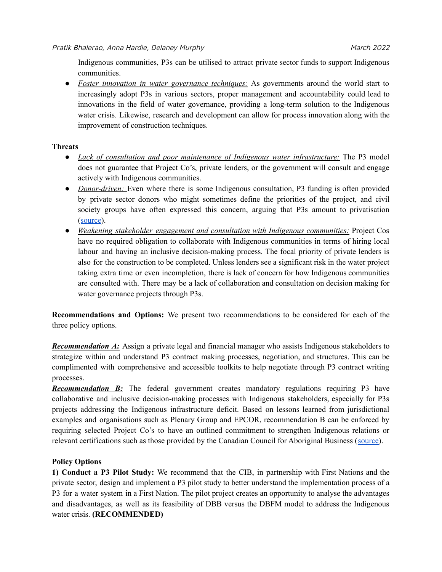Indigenous communities, P3s can be utilised to attract private sector funds to support Indigenous communities.

● *Foster innovation in water governance techniques:* As governments around the world start to increasingly adopt P3s in various sectors, proper management and accountability could lead to innovations in the field of water governance, providing a long-term solution to the Indigenous water crisis. Likewise, research and development can allow for process innovation along with the improvement of construction techniques.

## **Threats**

- *Lack of consultation and poor maintenance of Indigenous water infrastructure:* The P3 model does not guarantee that Project Co's, private lenders, or the government will consult and engage actively with Indigenous communities.
- *Donor-driven:* Even where there is some Indigenous consultation, P3 funding is often provided by private sector donors who might sometimes define the priorities of the project, and civil society groups have often expressed this concern, arguing that P3s amount to privatisation ([source](https://canadians.org/analysis/council-canadians-opposes-p3-water-privatization-plan-first-nations)).
- *Weakening stakeholder engagement and consultation with Indigenous communities:* Project Cos have no required obligation to collaborate with Indigenous communities in terms of hiring local labour and having an inclusive decision-making process. The focal priority of private lenders is also for the construction to be completed. Unless lenders see a significant risk in the water project taking extra time or even incompletion, there is lack of concern for how Indigenous communities are consulted with. There may be a lack of collaboration and consultation on decision making for water governance projects through P3s.

**Recommendations and Options:** We present two recommendations to be considered for each of the three policy options.

*Recommendation A:* Assign a private legal and financial manager who assists Indigenous stakeholders to strategize within and understand P3 contract making processes, negotiation, and structures. This can be complimented with comprehensive and accessible toolkits to help negotiate through P3 contract writing processes.

*Recommendation B***:** The federal government creates mandatory regulations requiring P3 have collaborative and inclusive decision-making processes with Indigenous stakeholders, especially for P3s projects addressing the Indigenous infrastructure deficit. Based on lessons learned from jurisdictional examples and organisations such as Plenary Group and EPCOR, recommendation B can be enforced by requiring selected Project Co's to have an outlined commitment to strengthen Indigenous relations or relevant certifications such as those provided by the Canadian Council for Aboriginal Business ([source\)](https://www.epcor.com/about/who-we-are-what-we-do/community-engagement-and-support/Pages/indigenous-relations.aspx).

# **Policy Options**

**1) Conduct a P3 Pilot Study:** We recommend that the CIB, in partnership with First Nations and the private sector, design and implement a P3 pilot study to better understand the implementation process of a P3 for a water system in a First Nation. The pilot project creates an opportunity to analyse the advantages and disadvantages, as well as its feasibility of DBB versus the DBFM model to address the Indigenous water crisis. **(RECOMMENDED)**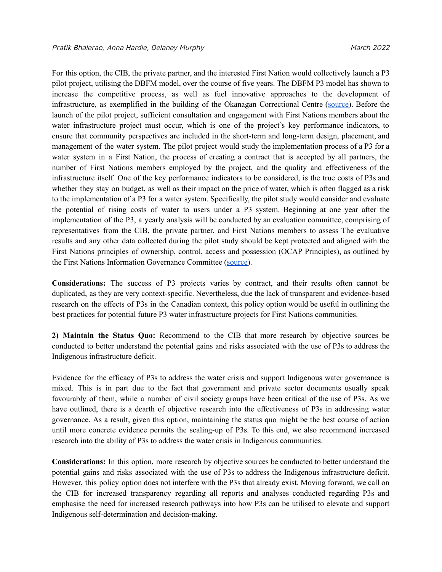For this option, the CIB, the private partner, and the interested First Nation would collectively launch a P3 pilot project, utilising the DBFM model, over the course of five years. The DBFM P3 model has shown to increase the competitive process, as well as fuel innovative approaches to the development of infrastructure, as exemplified in the building of the Okanagan Correctional Centre ([source](https://www.infrastructurebc.com/files-4/project-occ-schedules/2014-July_OCC-Project-Report.pdf)). Before the launch of the pilot project, sufficient consultation and engagement with First Nations members about the water infrastructure project must occur, which is one of the project's key performance indicators, to ensure that community perspectives are included in the short-term and long-term design, placement, and management of the water system. The pilot project would study the implementation process of a P3 for a water system in a First Nation, the process of creating a contract that is accepted by all partners, the number of First Nations members employed by the project, and the quality and effectiveness of the infrastructure itself. One of the key performance indicators to be considered, is the true costs of P3s and whether they stay on budget, as well as their impact on the price of water, which is often flagged as a risk to the implementation of a P3 for a water system. Specifically, the pilot study would consider and evaluate the potential of rising costs of water to users under a P3 system. Beginning at one year after the implementation of the P3, a yearly analysis will be conducted by an evaluation committee, comprising of representatives from the CIB, the private partner, and First Nations members to assess The evaluative results and any other data collected during the pilot study should be kept protected and aligned with the First Nations principles of ownership, control, access and possession (OCAP Principles), as outlined by the First Nations Information Governance Committee [\(source](https://fnigc.ca/ocap-training/)).

**Considerations:** The success of P3 projects varies by contract, and their results often cannot be duplicated, as they are very context-specific. Nevertheless, due the lack of transparent and evidence-based research on the effects of P3s in the Canadian context, this policy option would be useful in outlining the best practices for potential future P3 water infrastructure projects for First Nations communities.

**2) Maintain the Status Quo:** Recommend to the CIB that more research by objective sources be conducted to better understand the potential gains and risks associated with the use of P3s to address the Indigenous infrastructure deficit.

Evidence for the efficacy of P3s to address the water crisis and support Indigenous water governance is mixed. This is in part due to the fact that government and private sector documents usually speak favourably of them, while a number of civil society groups have been critical of the use of P3s. As we have outlined, there is a dearth of objective research into the effectiveness of P3s in addressing water governance. As a result, given this option, maintaining the status quo might be the best course of action until more concrete evidence permits the scaling-up of P3s. To this end, we also recommend increased research into the ability of P3s to address the water crisis in Indigenous communities.

**Considerations:** In this option, more research by objective sources be conducted to better understand the potential gains and risks associated with the use of P3s to address the Indigenous infrastructure deficit. However, this policy option does not interfere with the P3s that already exist. Moving forward, we call on the CIB for increased transparency regarding all reports and analyses conducted regarding P3s and emphasise the need for increased research pathways into how P3s can be utilised to elevate and support Indigenous self-determination and decision-making.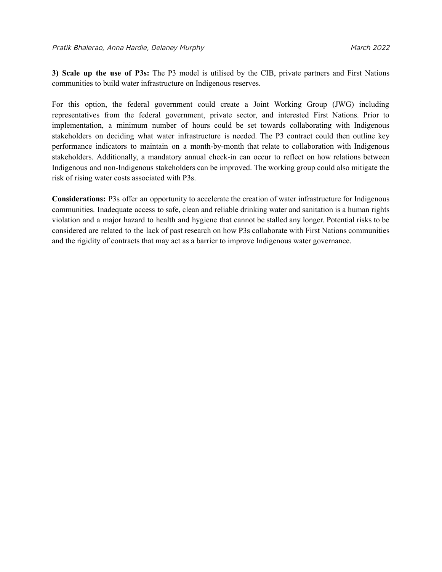**3) Scale up the use of P3s:** The P3 model is utilised by the CIB, private partners and First Nations communities to build water infrastructure on Indigenous reserves.

For this option, the federal government could create a Joint Working Group (JWG) including representatives from the federal government, private sector, and interested First Nations. Prior to implementation, a minimum number of hours could be set towards collaborating with Indigenous stakeholders on deciding what water infrastructure is needed. The P3 contract could then outline key performance indicators to maintain on a month-by-month that relate to collaboration with Indigenous stakeholders. Additionally, a mandatory annual check-in can occur to reflect on how relations between Indigenous and non-Indigenous stakeholders can be improved. The working group could also mitigate the risk of rising water costs associated with P3s.

**Considerations:** P3s offer an opportunity to accelerate the creation of water infrastructure for Indigenous communities. Inadequate access to safe, clean and reliable drinking water and sanitation is a human rights violation and a major hazard to health and hygiene that cannot be stalled any longer. Potential risks to be considered are related to the lack of past research on how P3s collaborate with First Nations communities and the rigidity of contracts that may act as a barrier to improve Indigenous water governance.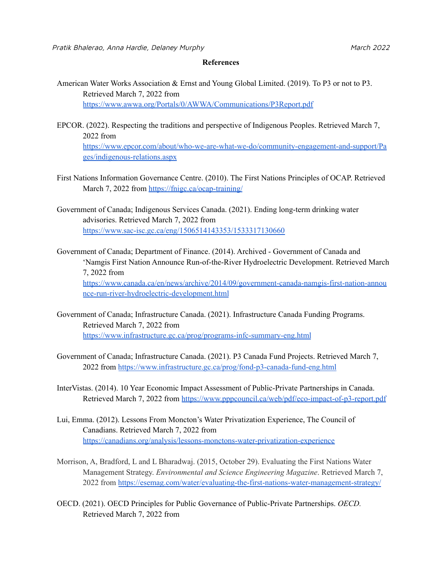#### **References**

American Water Works Association & Ernst and Young Global Limited. (2019). To P3 or not to P3. Retrieved March 7, 2022 from <https://www.awwa.org/Portals/0/AWWA/Communications/P3Report.pdf>

- EPCOR. (2022). Respecting the traditions and perspective of Indigenous Peoples. Retrieved March 7, 2022 from [https://www.epcor.com/about/who-we-are-what-we-do/community-engagement-and-support/Pa](https://www.epcor.com/about/who-we-are-what-we-do/community-engagement-and-support/Pages/indigenous-relations.aspx) [ges/indigenous-relations.aspx](https://www.epcor.com/about/who-we-are-what-we-do/community-engagement-and-support/Pages/indigenous-relations.aspx)
- First Nations Information Governance Centre. (2010). The First Nations Principles of OCAP. Retrieved March 7, 2022 from <https://fnigc.ca/ocap-training/>
- Government of Canada; Indigenous Services Canada. (2021). Ending long-term drinking water advisories. Retrieved March 7, 2022 from <https://www.sac-isc.gc.ca/eng/1506514143353/1533317130660>
- Government of Canada; Department of Finance. (2014). Archived Government of Canada and 'Namgis First Nation Announce Run-of-the-River Hydroelectric Development. Retrieved March 7, 2022 from [https://www.canada.ca/en/news/archive/2014/09/government-canada-namgis-first-nation-annou](https://www.canada.ca/en/news/archive/2014/09/government-canada-namgis-first-nation-announce-run-river-hydroelectric-development.html) [nce-run-river-hydroelectric-development.html](https://www.canada.ca/en/news/archive/2014/09/government-canada-namgis-first-nation-announce-run-river-hydroelectric-development.html)
- Government of Canada; Infrastructure Canada. (2021). Infrastructure Canada Funding Programs. Retrieved March 7, 2022 from <https://www.infrastructure.gc.ca/prog/programs-infc-summary-eng.html>
- Government of Canada; Infrastructure Canada. (2021). P3 Canada Fund Projects. Retrieved March 7, 2022 from <https://www.infrastructure.gc.ca/prog/fond-p3-canada-fund-eng.html>
- InterVistas. (2014). 10 Year Economic Impact Assessment of Public-Private Partnerships in Canada. Retrieved March 7, 2022 from <https://www.pppcouncil.ca/web/pdf/eco-impact-of-p3-report.pdf>
- Lui, Emma. (2012). Lessons From Moncton's Water Privatization Experience, The Council of Canadians. Retrieved March 7, 2022 from <https://canadians.org/analysis/lessons-monctons-water-privatization-experience>
- Morrison, A, Bradford, L and L Bharadwaj. (2015, October 29). Evaluating the First Nations Water Management Strategy. *Environmental and Science Engineering Magazine*. Retrieved March 7, 2022 from <https://esemag.com/water/evaluating-the-first-nations-water-management-strategy/>
- OECD. (2021). OECD Principles for Public Governance of Public-Private Partnerships. *OECD.* Retrieved March 7, 2022 from